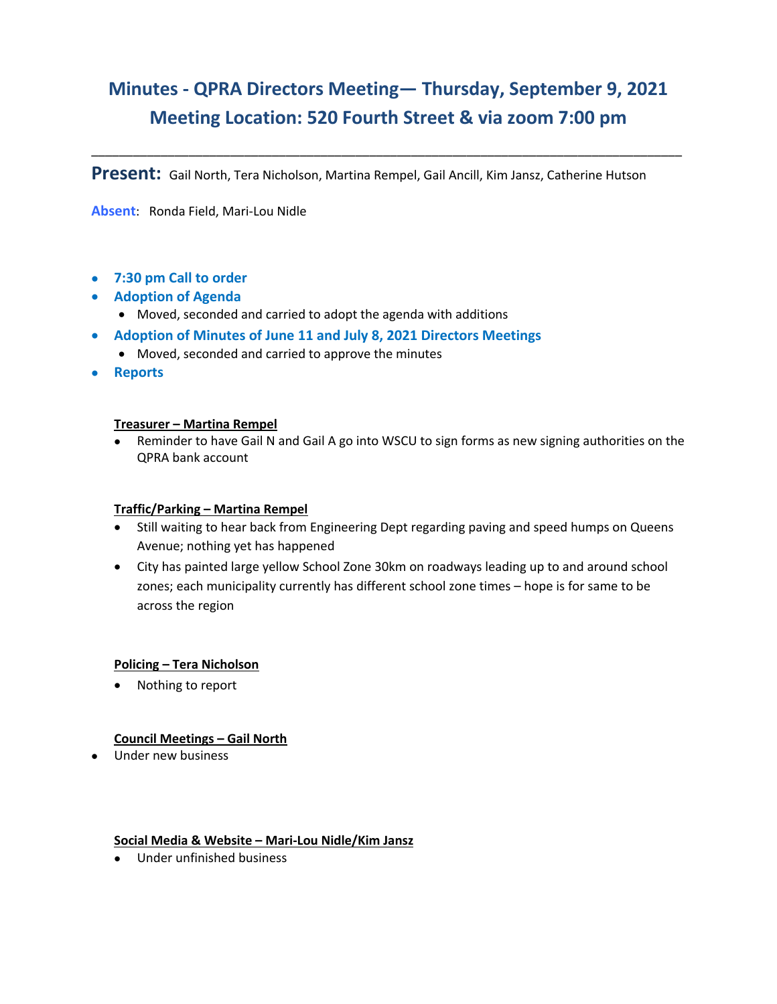# **Minutes - QPRA Directors Meeting— Thursday, September 9, 2021 Meeting Location: 520 Fourth Street & via zoom 7:00 pm**

\_\_\_\_\_\_\_\_\_\_\_\_\_\_\_\_\_\_\_\_\_\_\_\_\_\_\_\_\_\_\_\_\_\_\_\_\_\_\_\_\_\_\_\_\_\_\_\_\_\_\_\_\_\_\_\_\_\_\_\_\_\_\_\_\_\_\_\_\_\_\_\_\_\_\_\_\_\_\_\_\_\_\_\_\_

**Present:** Gail North, Tera Nicholson, Martina Rempel, Gail Ancill, Kim Jansz, Catherine Hutson

**Absent**: Ronda Field, Mari-Lou Nidle

- **7:30 pm Call to order**
- **Adoption of Agenda**
	- Moved, seconded and carried to adopt the agenda with additions
- **Adoption of Minutes of June 11 and July 8, 2021 Directors Meetings**
	- Moved, seconded and carried to approve the minutes
- **Reports**

#### **Treasurer – Martina Rempel**

• Reminder to have Gail N and Gail A go into WSCU to sign forms as new signing authorities on the QPRA bank account

## **Traffic/Parking – Martina Rempel**

- Still waiting to hear back from Engineering Dept regarding paving and speed humps on Queens Avenue; nothing yet has happened
- City has painted large yellow School Zone 30km on roadways leading up to and around school zones; each municipality currently has different school zone times – hope is for same to be across the region

## **Policing – Tera Nicholson**

• Nothing to report

## **Council Meetings – Gail North**

• Under new business

#### **Social Media & Website – Mari-Lou Nidle/Kim Jansz**

• Under unfinished business